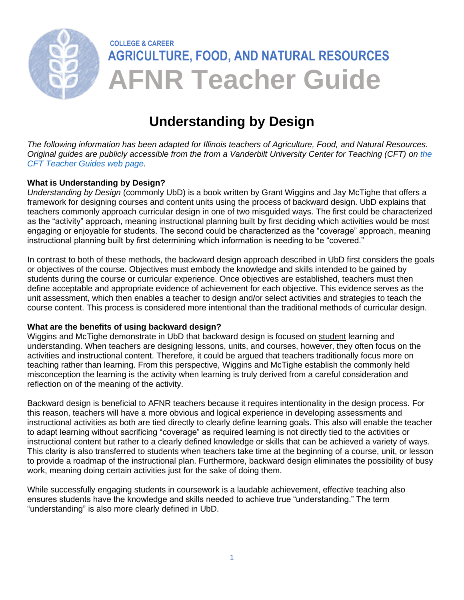

# **Understanding by Design**

*The following information has been adapted for Illinois teachers of Agriculture, Food, and Natural Resources. Original guides are publicly accessible from the from a Vanderbilt University Center for Teaching (CFT) on [the](https://cft.vanderbilt.edu/guides-sub-pages/)  [CFT Teacher Guides web page.](https://cft.vanderbilt.edu/guides-sub-pages/)* 

# **What is Understanding by Design?**

*Understanding by Design* (commonly UbD) is a book written by Grant Wiggins and Jay McTighe that offers a framework for designing courses and content units using the process of backward design. UbD explains that teachers commonly approach curricular design in one of two misguided ways. The first could be characterized as the "activity" approach, meaning instructional planning built by first deciding which activities would be most engaging or enjoyable for students. The second could be characterized as the "coverage" approach, meaning instructional planning built by first determining which information is needing to be "covered."

In contrast to both of these methods, the backward design approach described in UbD first considers the goals or objectives of the course. Objectives must embody the knowledge and skills intended to be gained by students during the course or curricular experience. Once objectives are established, teachers must then define acceptable and appropriate evidence of achievement for each objective. This evidence serves as the unit assessment, which then enables a teacher to design and/or select activities and strategies to teach the course content. This process is considered more intentional than the traditional methods of curricular design.

# **What are the benefits of using backward design?**

Wiggins and McTighe demonstrate in UbD that backward design is focused on student learning and understanding. When teachers are designing lessons, units, and courses, however, they often focus on the activities and instructional content. Therefore, it could be argued that teachers traditionally focus more on teaching rather than learning. From this perspective, Wiggins and McTighe establish the commonly held misconception the learning is the activity when learning is truly derived from a careful consideration and reflection on of the meaning of the activity.

Backward design is beneficial to AFNR teachers because it requires intentionality in the design process. For this reason, teachers will have a more obvious and logical experience in developing assessments and instructional activities as both are tied directly to clearly define learning goals. This also will enable the teacher to adapt learning without sacrificing "coverage" as required learning is not directly tied to the activities or instructional content but rather to a clearly defined knowledge or skills that can be achieved a variety of ways. This clarity is also transferred to students when teachers take time at the beginning of a course, unit, or lesson to provide a roadmap of the instructional plan. Furthermore, backward design eliminates the possibility of busy work, meaning doing certain activities just for the sake of doing them.

While successfully engaging students in coursework is a laudable achievement, effective teaching also ensures students have the knowledge and skills needed to achieve true "understanding." The term "understanding" is also more clearly defined in UbD.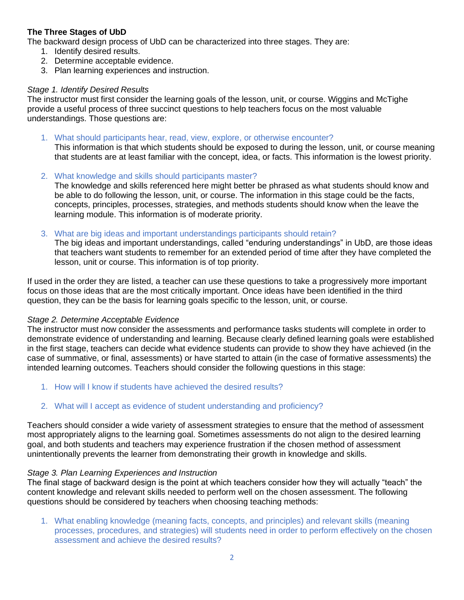# **The Three Stages of UbD**

The backward design process of UbD can be characterized into three stages. They are:

- 1. Identify desired results.
- 2. Determine acceptable evidence.
- 3. Plan learning experiences and instruction.

## *Stage 1. Identify Desired Results*

The instructor must first consider the learning goals of the lesson, unit, or course. Wiggins and McTighe provide a useful process of three succinct questions to help teachers focus on the most valuable understandings. Those questions are:

1. What should participants hear, read, view, explore, or otherwise encounter?

This information is that which students should be exposed to during the lesson, unit, or course meaning that students are at least familiar with the concept, idea, or facts. This information is the lowest priority.

2. What knowledge and skills should participants master?

The knowledge and skills referenced here might better be phrased as what students should know and be able to do following the lesson, unit, or course. The information in this stage could be the facts, concepts, principles, processes, strategies, and methods students should know when the leave the learning module. This information is of moderate priority.

3. What are big ideas and important understandings participants should retain?

The big ideas and important understandings, called "enduring understandings" in UbD, are those ideas that teachers want students to remember for an extended period of time after they have completed the lesson, unit or course. This information is of top priority.

If used in the order they are listed, a teacher can use these questions to take a progressively more important focus on those ideas that are the most critically important. Once ideas have been identified in the third question, they can be the basis for learning goals specific to the lesson, unit, or course.

#### *Stage 2. Determine Acceptable Evidence*

The instructor must now consider the assessments and performance tasks students will complete in order to demonstrate evidence of understanding and learning. Because clearly defined learning goals were established in the first stage, teachers can decide what evidence students can provide to show they have achieved (in the case of summative, or final, assessments) or have started to attain (in the case of formative assessments) the intended learning outcomes. Teachers should consider the following questions in this stage:

- 1. How will I know if students have achieved the desired results?
- 2. What will I accept as evidence of student understanding and proficiency?

Teachers should consider a wide variety of assessment strategies to ensure that the method of assessment most appropriately aligns to the learning goal. Sometimes assessments do not align to the desired learning goal, and both students and teachers may experience frustration if the chosen method of assessment unintentionally prevents the learner from demonstrating their growth in knowledge and skills.

#### *Stage 3. Plan Learning Experiences and Instruction*

The final stage of backward design is the point at which teachers consider how they will actually "teach" the content knowledge and relevant skills needed to perform well on the chosen assessment. The following questions should be considered by teachers when choosing teaching methods:

1. What enabling knowledge (meaning facts, concepts, and principles) and relevant skills (meaning processes, procedures, and strategies) will students need in order to perform effectively on the chosen assessment and achieve the desired results?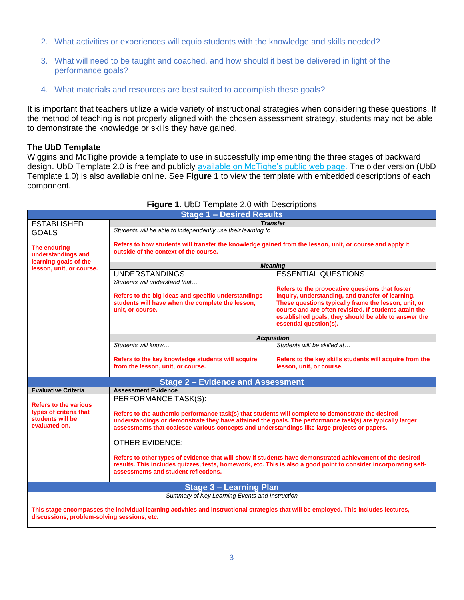- 2. What activities or experiences will equip students with the knowledge and skills needed?
- 3. What will need to be taught and coached, and how should it best be delivered in light of the performance goals?
- 4. What materials and resources are best suited to accomplish these goals?

It is important that teachers utilize a wide variety of instructional strategies when considering these questions. If the method of teaching is not properly aligned with the chosen assessment strategy, students may not be able to demonstrate the knowledge or skills they have gained.

#### **The UbD Template**

Wiggins and McTighe provide a template to use in successfully implementing the three stages of backward design. UbD Template 2.0 is free and publicly [available on McTighe's public web page.](https://jaymctighe.com/resources) The older version (UbD Template 1.0) is also available online. See **Figure 1** to view the template with embedded descriptions of each component.

| <b>Stage 1 - Desired Results</b>                                                                                                                                                     |                                                                                                                                                                                                                                                                                                                                                                                        |                                                         |
|--------------------------------------------------------------------------------------------------------------------------------------------------------------------------------------|----------------------------------------------------------------------------------------------------------------------------------------------------------------------------------------------------------------------------------------------------------------------------------------------------------------------------------------------------------------------------------------|---------------------------------------------------------|
| <b>ESTABLISHED</b>                                                                                                                                                                   | <b>Transfer</b>                                                                                                                                                                                                                                                                                                                                                                        |                                                         |
| <b>GOALS</b>                                                                                                                                                                         | Students will be able to independently use their learning to                                                                                                                                                                                                                                                                                                                           |                                                         |
| The enduring<br>understandings and                                                                                                                                                   | Refers to how students will transfer the knowledge gained from the lesson, unit, or course and apply it<br>outside of the context of the course.                                                                                                                                                                                                                                       |                                                         |
| learning goals of the                                                                                                                                                                | <b>Meaning</b>                                                                                                                                                                                                                                                                                                                                                                         |                                                         |
| lesson, unit, or course.                                                                                                                                                             | <b>UNDERSTANDINGS</b>                                                                                                                                                                                                                                                                                                                                                                  | <b>ESSENTIAL QUESTIONS</b>                              |
|                                                                                                                                                                                      | Students will understand that                                                                                                                                                                                                                                                                                                                                                          |                                                         |
|                                                                                                                                                                                      |                                                                                                                                                                                                                                                                                                                                                                                        | Refers to the provocative questions that foster         |
|                                                                                                                                                                                      | Refers to the big ideas and specific understandings                                                                                                                                                                                                                                                                                                                                    | inquiry, understanding, and transfer of learning.       |
|                                                                                                                                                                                      | students will have when the complete the lesson,                                                                                                                                                                                                                                                                                                                                       | These questions typically frame the lesson, unit, or    |
|                                                                                                                                                                                      | unit, or course.                                                                                                                                                                                                                                                                                                                                                                       | course and are often revisited. If students attain the  |
|                                                                                                                                                                                      |                                                                                                                                                                                                                                                                                                                                                                                        | established goals, they should be able to answer the    |
|                                                                                                                                                                                      |                                                                                                                                                                                                                                                                                                                                                                                        | essential question(s).                                  |
|                                                                                                                                                                                      | <b>Acquisition</b>                                                                                                                                                                                                                                                                                                                                                                     |                                                         |
|                                                                                                                                                                                      | Students will know                                                                                                                                                                                                                                                                                                                                                                     | Students will be skilled at                             |
|                                                                                                                                                                                      |                                                                                                                                                                                                                                                                                                                                                                                        |                                                         |
|                                                                                                                                                                                      | Refers to the key knowledge students will acquire                                                                                                                                                                                                                                                                                                                                      | Refers to the key skills students will acquire from the |
|                                                                                                                                                                                      | from the lesson, unit, or course.                                                                                                                                                                                                                                                                                                                                                      | lesson, unit, or course.                                |
|                                                                                                                                                                                      |                                                                                                                                                                                                                                                                                                                                                                                        |                                                         |
| <b>Stage 2 - Evidence and Assessment</b>                                                                                                                                             |                                                                                                                                                                                                                                                                                                                                                                                        |                                                         |
| <b>Evaluative Criteria</b>                                                                                                                                                           | <b>Assessment Evidence</b>                                                                                                                                                                                                                                                                                                                                                             |                                                         |
|                                                                                                                                                                                      | PERFORMANCE TASK(S):                                                                                                                                                                                                                                                                                                                                                                   |                                                         |
| <b>Refers to the various</b>                                                                                                                                                         | types of criteria that<br>Refers to the authentic performance task(s) that students will complete to demonstrate the desired<br>students will be<br>understandings or demonstrate they have attained the goals. The performance task(s) are typically larger<br>assessments that coalesce various concepts and understandings like large projects or papers.<br><b>OTHER EVIDENCE:</b> |                                                         |
|                                                                                                                                                                                      |                                                                                                                                                                                                                                                                                                                                                                                        |                                                         |
| evaluated on.                                                                                                                                                                        |                                                                                                                                                                                                                                                                                                                                                                                        |                                                         |
|                                                                                                                                                                                      |                                                                                                                                                                                                                                                                                                                                                                                        |                                                         |
|                                                                                                                                                                                      |                                                                                                                                                                                                                                                                                                                                                                                        |                                                         |
| Refers to other types of evidence that will show if students have demonstrated achievement of the desired                                                                            |                                                                                                                                                                                                                                                                                                                                                                                        |                                                         |
|                                                                                                                                                                                      |                                                                                                                                                                                                                                                                                                                                                                                        |                                                         |
|                                                                                                                                                                                      | results. This includes quizzes, tests, homework, etc. This is also a good point to consider incorporating self-<br>assessments and student reflections.                                                                                                                                                                                                                                |                                                         |
|                                                                                                                                                                                      |                                                                                                                                                                                                                                                                                                                                                                                        |                                                         |
|                                                                                                                                                                                      |                                                                                                                                                                                                                                                                                                                                                                                        |                                                         |
| <b>Stage 3 - Learning Plan</b>                                                                                                                                                       |                                                                                                                                                                                                                                                                                                                                                                                        |                                                         |
| Summary of Key Learning Events and Instruction                                                                                                                                       |                                                                                                                                                                                                                                                                                                                                                                                        |                                                         |
|                                                                                                                                                                                      |                                                                                                                                                                                                                                                                                                                                                                                        |                                                         |
| This stage encompasses the individual learning activities and instructional strategies that will be employed. This includes lectures,<br>discussions, problem-solving sessions, etc. |                                                                                                                                                                                                                                                                                                                                                                                        |                                                         |
|                                                                                                                                                                                      |                                                                                                                                                                                                                                                                                                                                                                                        |                                                         |

## **Figure 1.** UbD Template 2.0 with Descriptions